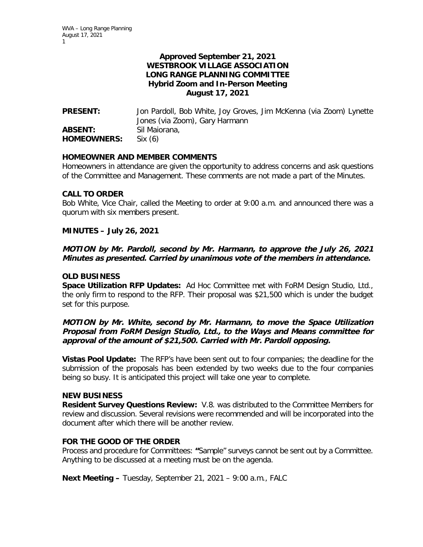# **Approved September 21, 2021 WESTBROOK VILLAGE ASSOCIATION LONG RANGE PLANNING COMMITTEE Hybrid Zoom and In-Person Meeting August 17, 2021**

**PRESENT:** Jon Pardoll, Bob White, Joy Groves, Jim McKenna (via Zoom) Lynette Jones (via Zoom), Gary Harmann **ABSENT:** Sil Maiorana, **HOMEOWNERS:** Six (6)

## **HOMEOWNER AND MEMBER COMMENTS**

Homeowners in attendance are given the opportunity to address concerns and ask questions of the Committee and Management. These comments are not made a part of the Minutes.

#### **CALL TO ORDER**

Bob White, Vice Chair, called the Meeting to order at 9:00 a.m. and announced there was a quorum with six members present.

### **MINUTES – July 26, 2021**

# **MOTION by Mr. Pardoll, second by Mr. Harmann, to approve the July 26, 2021 Minutes as presented. Carried by unanimous vote of the members in attendance.**

### **OLD BUSINESS**

**Space Utilization RFP Updates:** Ad Hoc Committee met with FoRM Design Studio, Ltd., the only firm to respond to the RFP. Their proposal was \$21,500 which is under the budget set for this purpose.

## **MOTION by Mr. White, second by Mr. Harmann, to move the Space Utilization Proposal from FoRM Design Studio, Ltd., to the Ways and Means committee for approval of the amount of \$21,500. Carried with Mr. Pardoll opposing.**

**Vistas Pool Update:** The RFP's have been sent out to four companies; the deadline for the submission of the proposals has been extended by two weeks due to the four companies being so busy. It is anticipated this project will take one year to complete.

#### **NEW BUSINESS**

**Resident Survey Questions Review:** V.8. was distributed to the Committee Members for review and discussion. Several revisions were recommended and will be incorporated into the document after which there will be another review.

## **FOR THE GOOD OF THE ORDER**

Process and procedure for Committees: **"**Sample" surveys cannot be sent out by a Committee. Anything to be discussed at a meeting must be on the agenda.

**Next Meeting –** Tuesday, September 21, 2021 – 9:00 a.m., FALC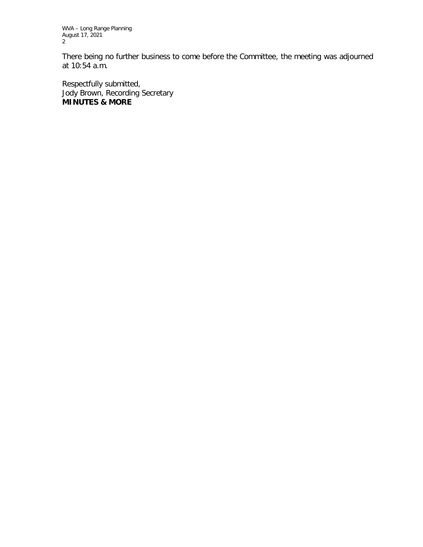WVA – Long Range Planning August 17, 2021 2

There being no further business to come before the Committee, the meeting was adjourned at 10:54 a.m.

Respectfully submitted, Jody Brown, Recording Secretary **MINUTES & MORE**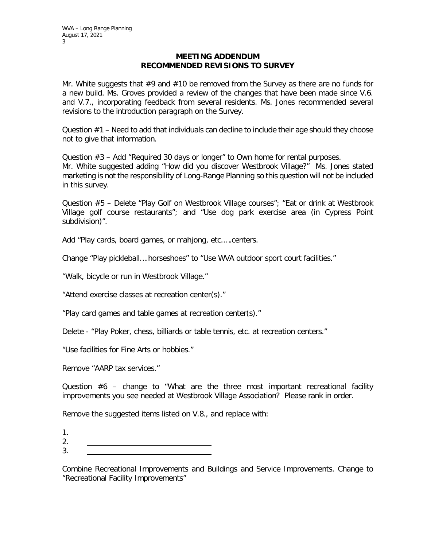### **MEETING ADDENDUM RECOMMENDED REVISIONS TO SURVEY**

Mr. White suggests that  $#9$  and  $#10$  be removed from the Survey as there are no funds for a new build. Ms. Groves provided a review of the changes that have been made since V.6. and V.7., incorporating feedback from several residents. Ms. Jones recommended several revisions to the introduction paragraph on the Survey.

Question  $#1$  – Need to add that individuals can decline to include their age should they choose not to give that information.

Question  $#3$  – Add "Required 30 days or longer" to Own home for rental purposes. Mr. White suggested adding "How did you discover Westbrook Village?" Ms. Jones stated marketing is not the responsibility of Long-Range Planning so this question will not be included in this survey.

Question #5 – Delete "Play Golf on Westbrook Village courses"; "Eat or drink at Westbrook Village golf course restaurants"; and "Use dog park exercise area (in Cypress Point subdivision)".

Add "Play cards, board games, or mahjong, etc.….centers.

Change "Play pickleball….horseshoes" to "Use WVA outdoor sport court facilities."

"Walk, bicycle or run in Westbrook Village."

"Attend exercise classes at recreation center(s)."

"Play card games and table games at recreation center(s)."

Delete - "Play Poker, chess, billiards or table tennis, etc. at recreation centers."

"Use facilities for Fine Arts or hobbies."

Remove "AARP tax services."

Question #6 – change to "What are the three most important recreational facility improvements you see needed at Westbrook Village Association? Please rank in order.

Remove the suggested items listed on V.8., and replace with:

- 1.
- 2.
- 3.

Combine Recreational Improvements and Buildings and Service Improvements. Change to "Recreational Facility Improvements"